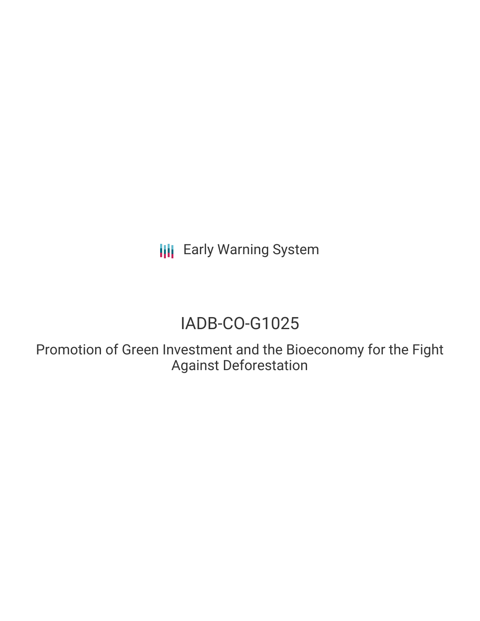**III** Early Warning System

## IADB-CO-G1025

Promotion of Green Investment and the Bioeconomy for the Fight Against Deforestation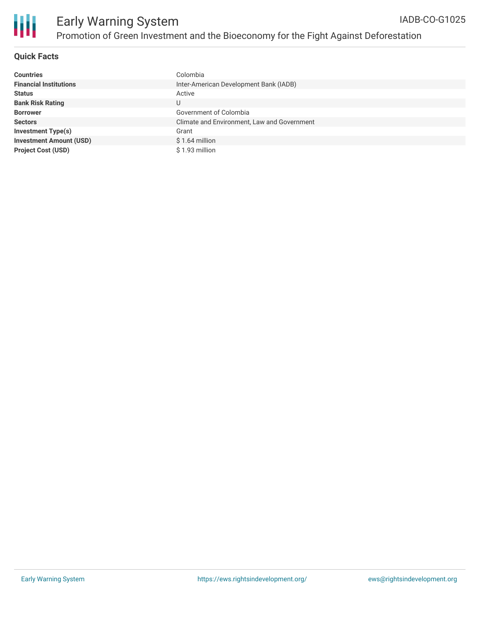

#### **Quick Facts**

| <b>Countries</b>               | Colombia                                    |
|--------------------------------|---------------------------------------------|
| <b>Financial Institutions</b>  | Inter-American Development Bank (IADB)      |
| <b>Status</b>                  | Active                                      |
| <b>Bank Risk Rating</b>        | U                                           |
| <b>Borrower</b>                | Government of Colombia                      |
| <b>Sectors</b>                 | Climate and Environment, Law and Government |
| <b>Investment Type(s)</b>      | Grant                                       |
| <b>Investment Amount (USD)</b> | $$1.64$ million                             |
| <b>Project Cost (USD)</b>      | \$1.93 million                              |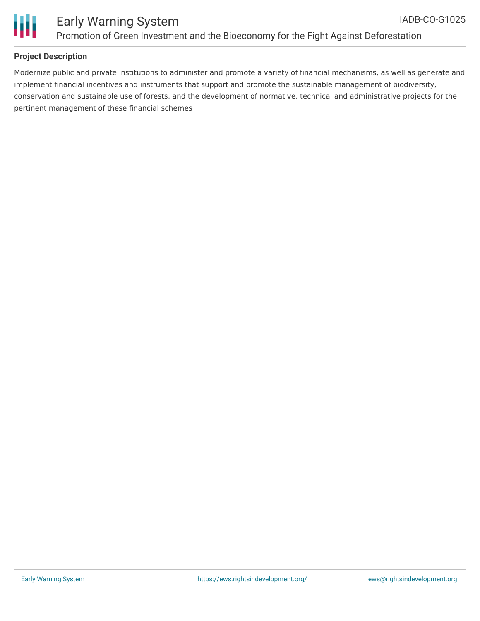

# Ш

### Early Warning System Promotion of Green Investment and the Bioeconomy for the Fight Against Deforestation

#### **Project Description**

Modernize public and private institutions to administer and promote a variety of financial mechanisms, as well as generate and implement financial incentives and instruments that support and promote the sustainable management of biodiversity, conservation and sustainable use of forests, and the development of normative, technical and administrative projects for the pertinent management of these financial schemes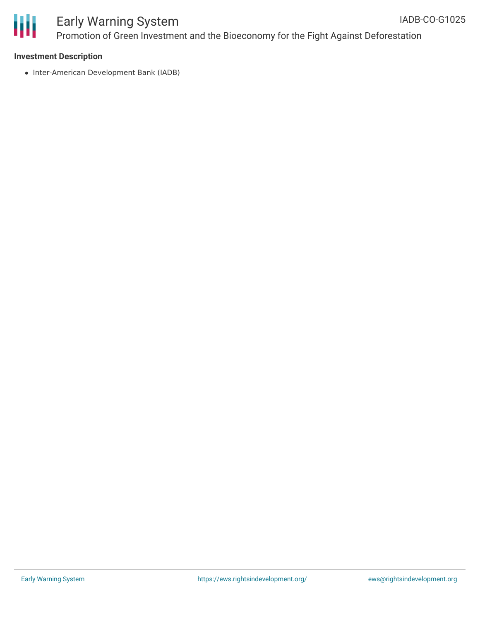

#### Early Warning System Promotion of Green Investment and the Bioeconomy for the Fight Against Deforestation IADB-CO-G1025

• Inter-American Development Bank (IADB)